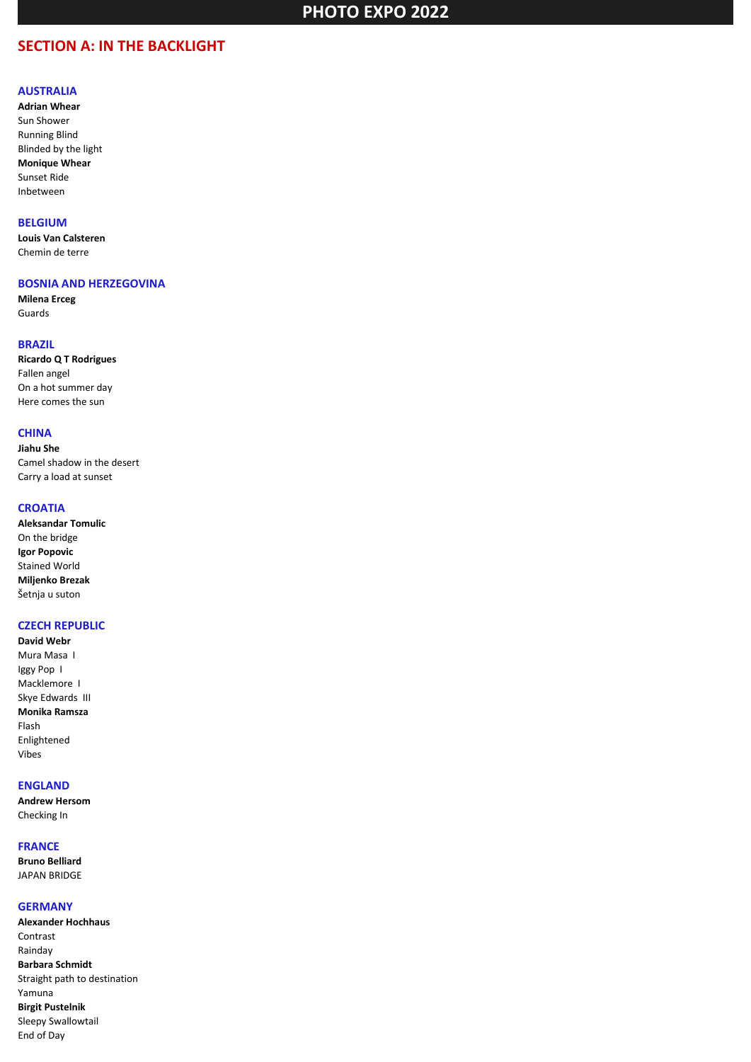## **SECTION A: IN THE BACKLIGHT**

#### **AUSTRALIA**

**Adrian Whear** Sun Shower Running Blind Blinded by the light **Monique Whear** Sunset Ride Inbetween

### **BELGIUM**

**Louis Van Calsteren** Chemin de terre

#### **BOSNIA AND HERZEGOVINA**

**Milena Erceg** Guards

### **BRAZIL**

**Ricardo Q T Rodrigues** Fallen angel On a hot summer day Here comes the sun

## **CHINA**

**Jiahu She** Camel shadow in the desert Carry a load at sunset

### **CROATIA**

| <b>Aleksandar Tomulic</b> |
|---------------------------|
| On the bridge             |
| Igor Popovic              |
| <b>Stained World</b>      |
| Miljenko Brezak           |
| Šetnja u suton            |

## **CZECH REPUBLIC**

**David Webr** Mura Masa I Iggy Pop I Macklemore I Skye Edwards III **Monika Ramsza** Flash Enlightened Vibes

#### **ENGLAND**

**Andrew Hersom** Checking In

#### **FRANCE**

**Bruno Belliard** JAPAN BRIDGE

#### **GERMANY**

**Alexander Hochhaus** Contrast Rainday **Barbara Schmidt** Straight path to destination Yamuna **Birgit Pustelnik** Sleepy Swallowtail End of Day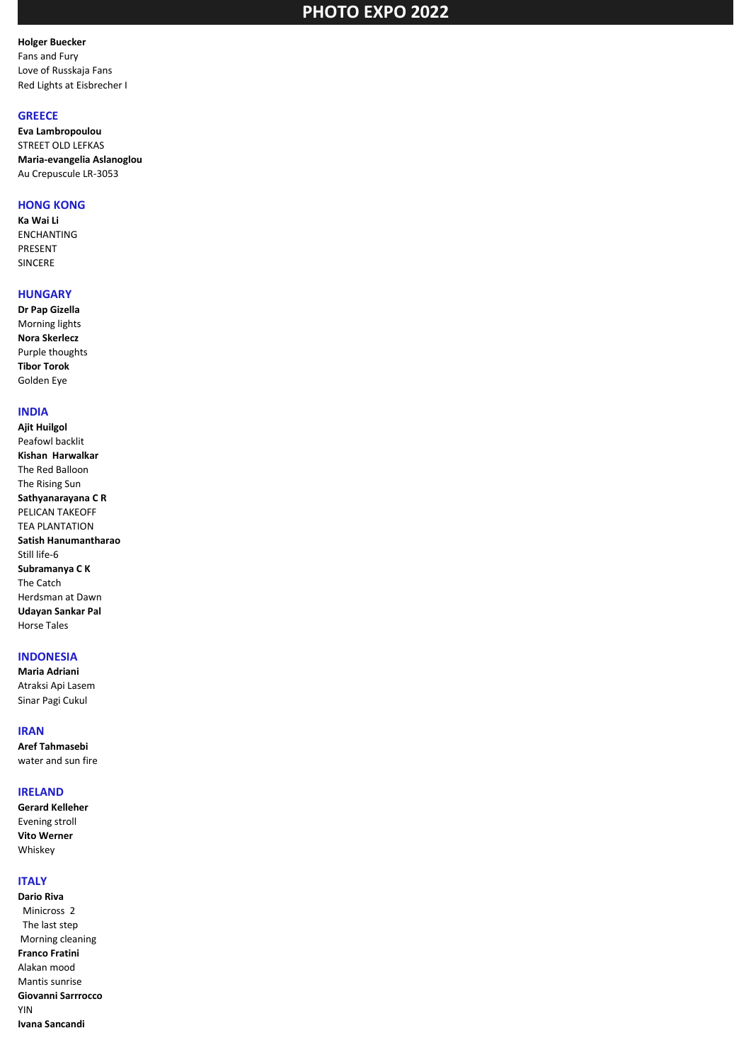#### **Holger Buecker** Fans and Fury Love of Russkaja Fans Red Lights at Eisbrecher I

#### **GREECE**

**Eva Lambropoulou** STREET OLD LEFKAS **Maria-evangelia Aslanoglou** Au Crepuscule LR-3053

#### **HONG KONG**

**Ka Wai Li** ENCHANTING PRESENT SINCERE

### **HUNGARY**

**Dr Pap Gizella** Morning lights **Nora Skerlecz** Purple thoughts **Tibor Torok** Golden Eye

### **INDIA**

**Ajit Huilgol** Peafowl backlit **Kishan Harwalkar** The Red Balloon The Rising Sun **Sathyanarayana C R** PELICAN TAKEOFF TEA PLANTATION **Satish Hanumantharao** Still life-6 **Subramanya C K** The Catch Herdsman at Dawn **Udayan Sankar Pal** Horse Tales

#### **INDONESIA**

**Maria Adriani** Atraksi Api Lasem Sinar Pagi Cukul

#### **IRAN**

**Aref Tahmasebi** water and sun fire

#### **IRELAND**

**Gerard Kelleher** Evening stroll **Vito Werner** Whiskey

#### **ITALY**

**Dario Riva** Minicross 2 The last step Morning cleaning **Franco Fratini** Alakan mood Mantis sunrise **Giovanni Sarrrocco** YIN **Ivana Sancandi**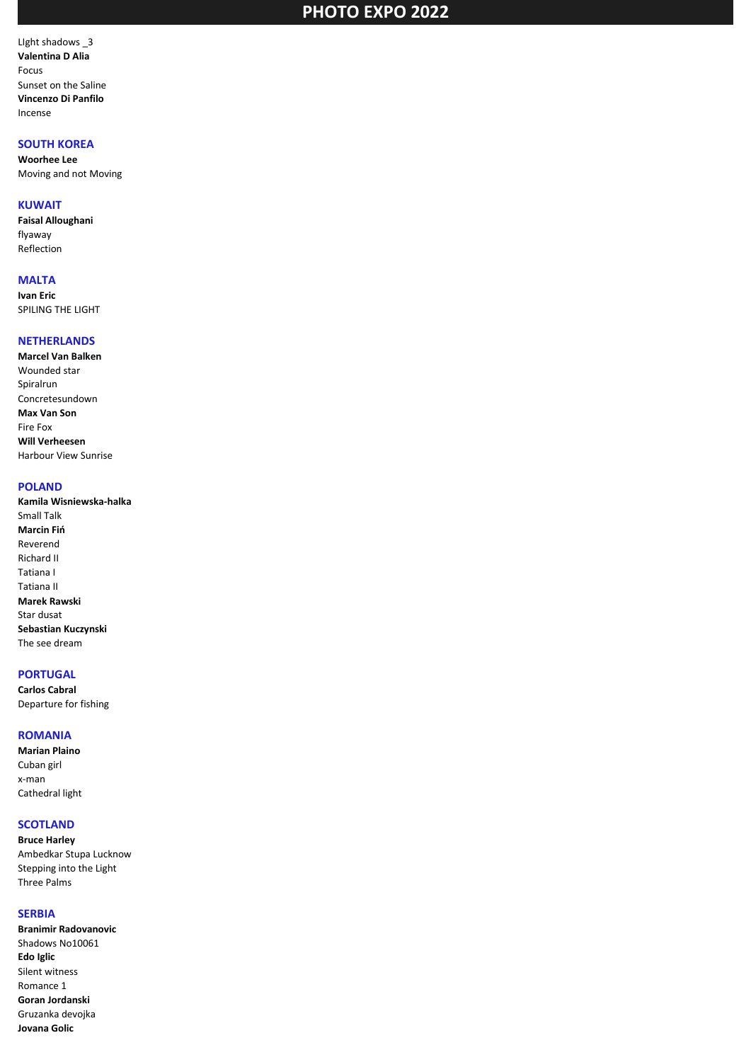LIght shadows \_3 **Valentina D Alia** Focus Sunset on the Saline **Vincenzo Di Panfilo** Incense

## **SOUTH KOREA**

**Woorhee Lee** Moving and not Moving

#### **KUWAIT**

**Faisal Alloughani** flyaway Reflection

## **MALTA**

**Ivan Eric** SPILING THE LIGHT

## **NETHERLANDS**

**Marcel Van Balken** Wounded star Spiralrun Concretesundown **Max Van Son** Fire Fox **Will Verheesen** Harbour View Sunrise

## **POLAND**

**Kamila Wisniewska-halka** Small Talk **Marcin Fiń** Reverend Richard II Tatiana I Tatiana II **Marek Rawski** Star dusat **Sebastian Kuczynski** The see dream

## **PORTUGAL**

**Carlos Cabral** Departure for fishing

#### **ROMANIA**

**Marian Plaino** Cuban girl x-man Cathedral light

#### **SCOTLAND**

**Bruce Harley** Ambedkar Stupa Lucknow Stepping into the Light Three Palms

#### **SERBIA**

**Branimir Radovanovic** Shadows No10061 **Edo Iglic** Silent witness Romance 1 **Goran Jordanski** Gruzanka devojka **Jovana Golic**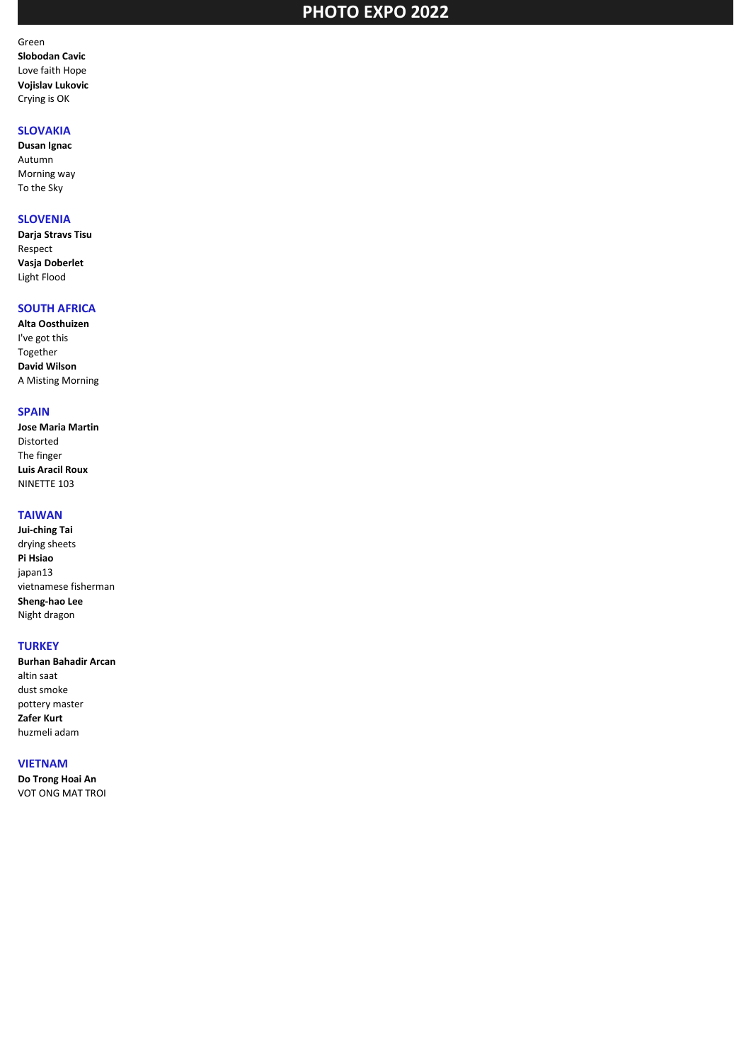Green **Slobodan Cavic** Love faith Hope **Vojislav Lukovic** Crying is OK

## **SLOVAKIA**

**Dusan Ignac** Autumn Morning way To the Sky

## **SLOVENIA**

**Darja Stravs Tisu** Respect **Vasja Doberlet** Light Flood

## **SOUTH AFRICA**

**Alta Oosthuizen** I've got this Together **David Wilson** A Misting Morning

#### **SPAIN**

**Jose Maria Martin** Distorted The finger **Luis Aracil Roux** NINETTE 103

## **TAIWAN**

**Jui-ching Tai** drying sheets **Pi Hsiao** japan13 vietnamese fisherman **Sheng-hao Lee** Night dragon

### **TURKEY**

**Burhan Bahadir Arcan** altin saat dust smoke pottery master **Zafer Kurt** huzmeli adam

#### **VIETNAM**

**Do Trong Hoai An** VOT ONG MAT TROI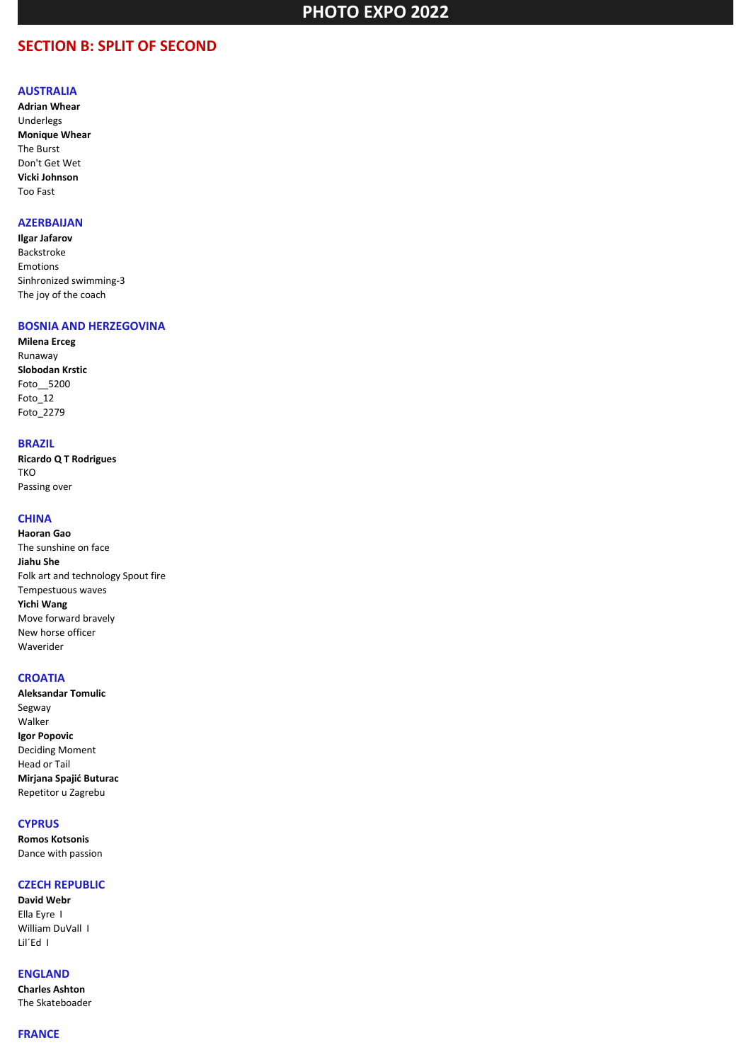## **SECTION B: SPLIT OF SECOND**

#### **AUSTRALIA**

**Adrian Whear** Underlegs **Monique Whear** The Burst Don't Get Wet **Vicki Johnson** Too Fast

## **AZERBAIJAN**

**Ilgar Jafarov** Backstroke Emotions Sinhronized swimming-3 The joy of the coach

## **BOSNIA AND HERZEGOVINA**

**Milena Erceg** Runaway **Slobodan Krstic** Foto\_\_5200 Foto\_12 Foto\_2279

#### **BRAZIL**

**Ricardo Q T Rodrigues** TKO Passing over

## **CHINA**

**Haoran Gao** The sunshine on face **Jiahu She** Folk art and technology Spout fire Tempestuous waves **Yichi Wang** Move forward bravely New horse officer Waverider

#### **CROATIA**

**Aleksandar Tomulic** Segway Walker **Igor Popovic** Deciding Moment Head or Tail **Mirjana Spajić Buturac** Repetitor u Zagrebu

### **CYPRUS**

**Romos Kotsonis** Dance with passion

#### **CZECH REPUBLIC**

**David Webr** Ella Eyre I William DuVall I Lil´Ed I

#### **ENGLAND**

**Charles Ashton** The Skateboader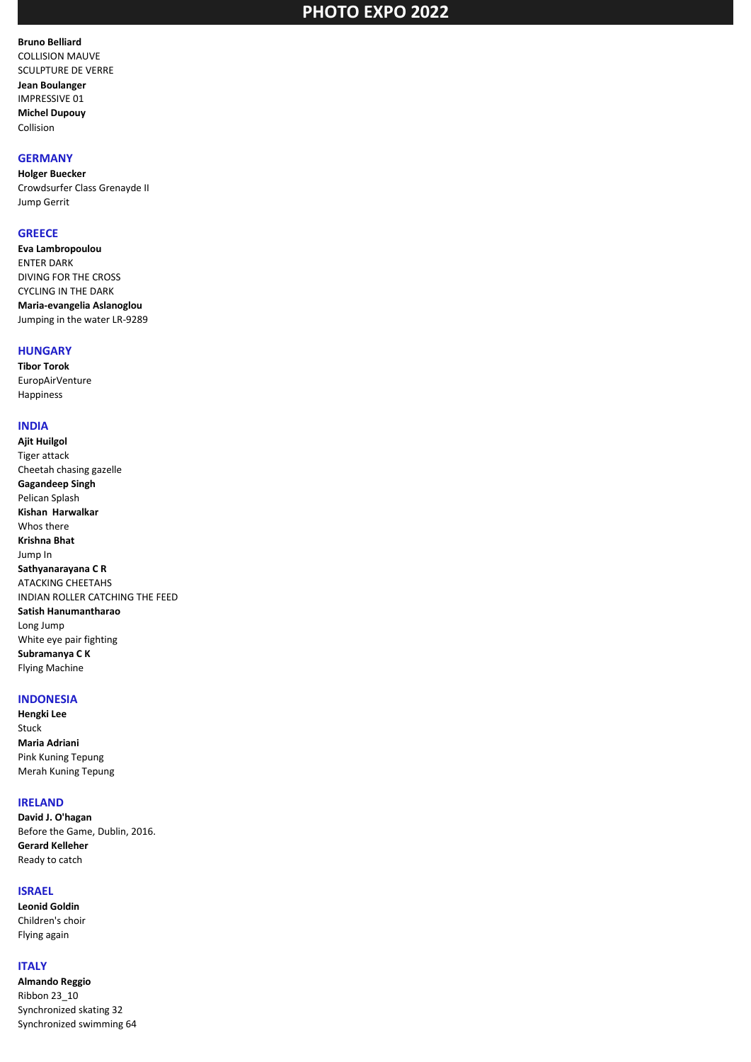## **Bruno Belliard**

COLLISION MAUVE SCULPTURE DE VERRE

**Jean Boulanger** IMPRESSIVE 01 **Michel Dupouy** Collision

### **GERMANY**

**Holger Buecker** Crowdsurfer Class Grenayde II Jump Gerrit

#### **GREECE**

**Eva Lambropoulou** ENTER DARK DIVING FOR THE CROSS CYCLING IN THE DARK **Maria-evangelia Aslanoglou** Jumping in the water LR-9289

### **HUNGARY**

**Tibor Torok** EuropAirVenture Happiness

## **INDIA**

**Ajit Huilgol** Tiger attack Cheetah chasing gazelle **Gagandeep Singh** Pelican Splash **Kishan Harwalkar** Whos there **Krishna Bhat** Jump In **Sathyanarayana C R** ATACKING CHEETAHS INDIAN ROLLER CATCHING THE FEED **Satish Hanumantharao** Long Jump White eye pair fighting **Subramanya C K** Flying Machine

## **INDONESIA**

**Hengki Lee** Stuck **Maria Adriani** Pink Kuning Tepung Merah Kuning Tepung

## **IRELAND**

**David J. O'hagan** Before the Game, Dublin, 2016. **Gerard Kelleher** Ready to catch

#### **ISRAEL**

**Leonid Goldin** Children's choir Flying again

## **ITALY**

**Almando Reggio** Ribbon 23\_10 Synchronized skating 32 Synchronized swimming 64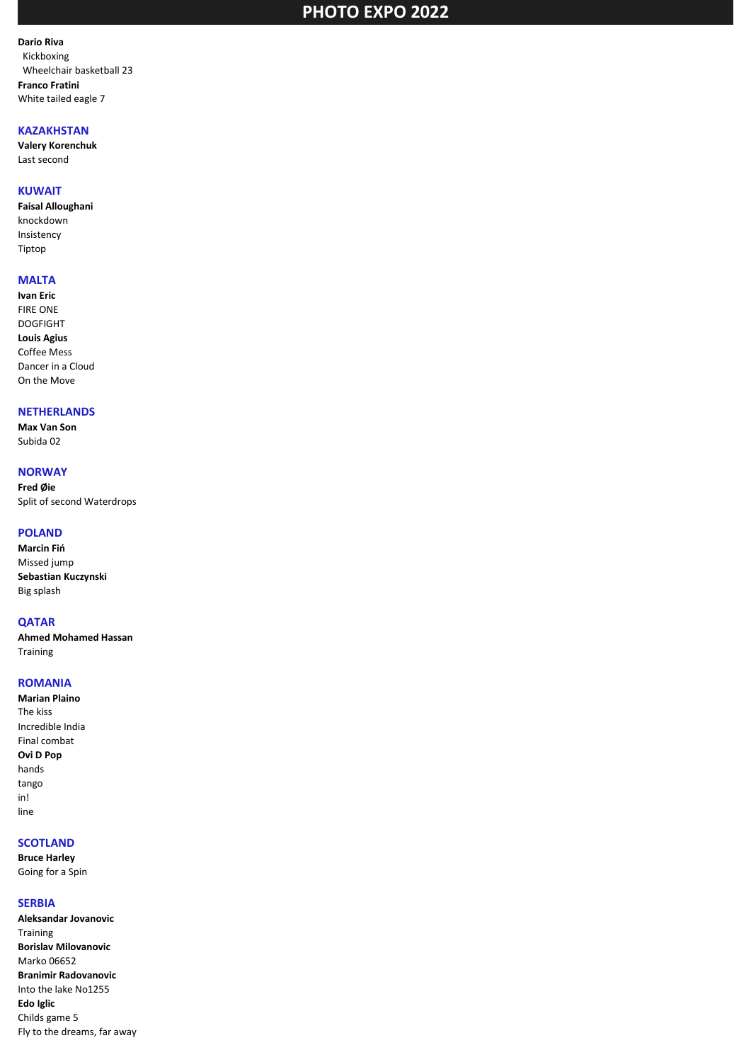**Dario Riva** Kickboxing Wheelchair basketball 23 **Franco Fratini** White tailed eagle 7

### **KAZAKHSTAN**

**Valery Korenchuk** Last second

#### **KUWAIT**

**Faisal Alloughani** knockdown Insistency Tiptop

## **MALTA**

**Ivan Eric** FIRE ONE DOGFIGHT **Louis Agius** Coffee Mess Dancer in a Cloud On the Move

#### **NETHERLANDS**

**Max Van Son** Subida 02

## **NORWAY**

**Fred Øie** Split of second Waterdrops

#### **POLAND**

**Marcin Fiń** Missed jump **Sebastian Kuczynski** Big splash

#### **QATAR**

**Ahmed Mohamed Hassan** Training

#### **ROMANIA**

**Marian Plaino** The kiss Incredible India Final combat **Ovi D Pop** hands tango in! line

### **SCOTLAND**

**Bruce Harley** Going for a Spin

#### **SERBIA**

**Aleksandar Jovanovic** Training **Borislav Milovanovic** Marko 06652 **Branimir Radovanovic** Into the lake No1255 **Edo Iglic** Childs game 5 Fly to the dreams, far away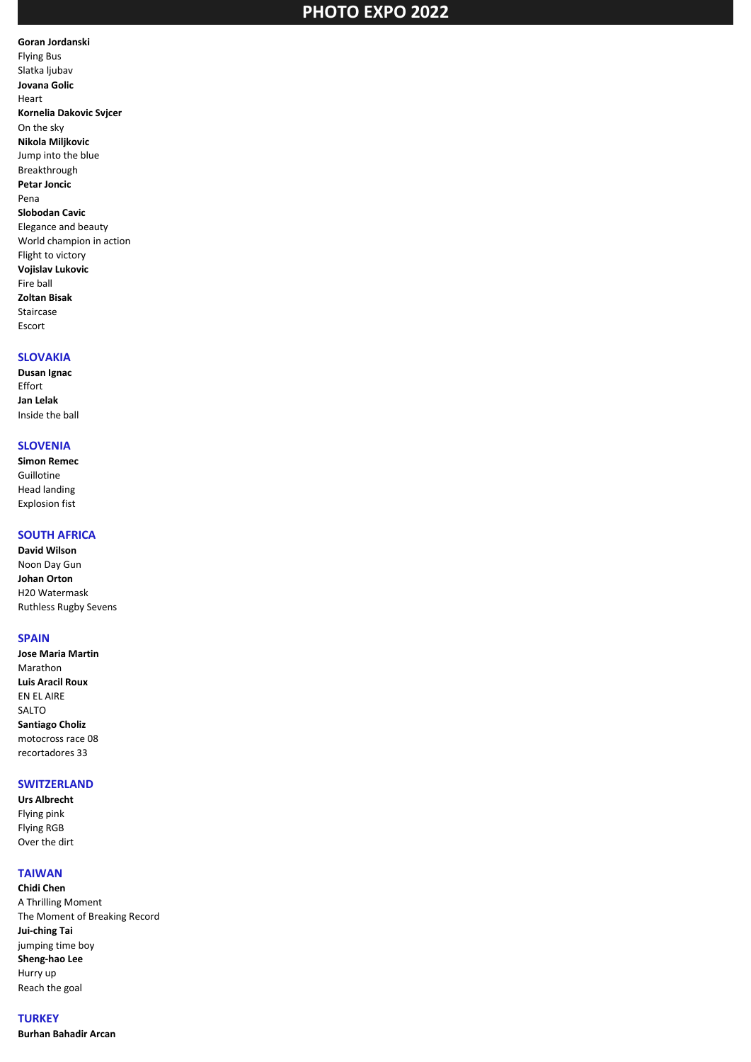#### **Goran Jordanski** Flying Bus Slatka ljubav **Jovana Golic** Heart **Kornelia Dakovic Svjcer** On the sky **Nikola Miljkovic** Jump into the blue Breakthrough **Petar Joncic** Pena **Slobodan Cavic** Elegance and beauty World champion in action Flight to victory **Vojislav Lukovic** Fire ball **Zoltan Bisak** Staircase Escort

### **SLOVAKIA**

**Dusan Ignac** Effort **Jan Lelak** Inside the ball

## **SLOVENIA**

**Simon Remec** Guillotine Head landing Explosion fist

## **SOUTH AFRICA**

**David Wilson** Noon Day Gun **Johan Orton** H20 Watermask Ruthless Rugby Sevens

#### **SPAIN**

**Jose Maria Martin** Marathon **Luis Aracil Roux** EN EL AIRE SALTO **Santiago Choliz** motocross race 08 recortadores 33

## **SWITZERLAND**

**Urs Albrecht** Flying pink Flying RGB Over the dirt

### **TAIWAN**

**Chidi Chen** A Thrilling Moment The Moment of Breaking Record **Jui-ching Tai** jumping time boy **Sheng-hao Lee** Hurry up Reach the goal

**TURKEY Burhan Bahadir Arcan**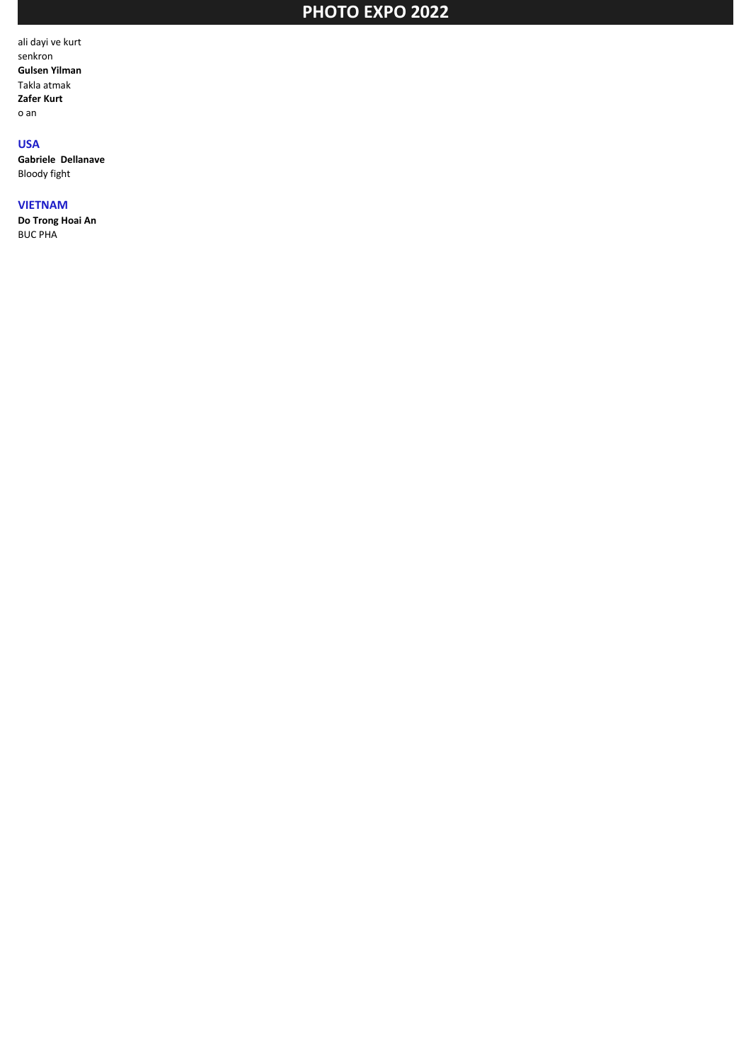ali dayi ve kurt senkron **Gulsen Yilman** Takla atmak **Zafer Kurt** o an

## **USA**

**Gabriele Dellanave** Bloody fight

#### **VIETNAM**

**Do Trong Hoai An** BUC PHA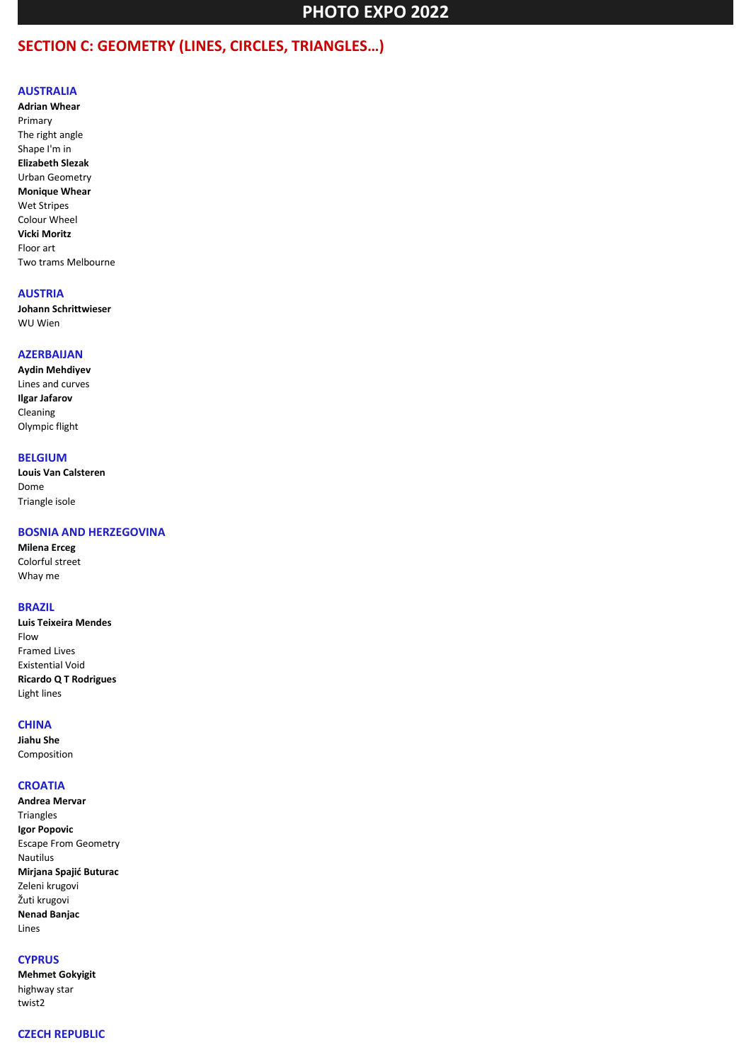## **SECTION C: GEOMETRY (LINES, CIRCLES, TRIANGLES…)**

#### **AUSTRALIA**

**Adrian Whear** Primary The right angle Shape I'm in **Elizabeth Slezak** Urban Geometry **Monique Whear** Wet Stripes Colour Wheel **Vicki Moritz** Floor art Two trams Melbourne

#### **AUSTRIA**

**Johann Schrittwieser** WU Wien

#### **AZERBAIJAN**

**Aydin Mehdiyev** Lines and curves **Ilgar Jafarov** Cleaning Olympic flight

## **BELGIUM**

**Louis Van Calsteren** Dome Triangle isole

#### **BOSNIA AND HERZEGOVINA**

**Milena Erceg** Colorful street Whay me

#### **BRAZIL**

**Luis Teixeira Mendes** Flow Framed Lives Existential Void **Ricardo Q T Rodrigues** Light lines

#### **CHINA**

**Jiahu She** Composition

#### **CROATIA**

**Andrea Mervar** Triangles **Igor Popovic** Escape From Geometry Nautilus **Mirjana Spajić Buturac** Zeleni krugovi Žuti krugovi **Nenad Banjac** Lines

#### **CYPRUS**

**Mehmet Gokyigit** highway star twist2

#### **CZECH REPUBLIC**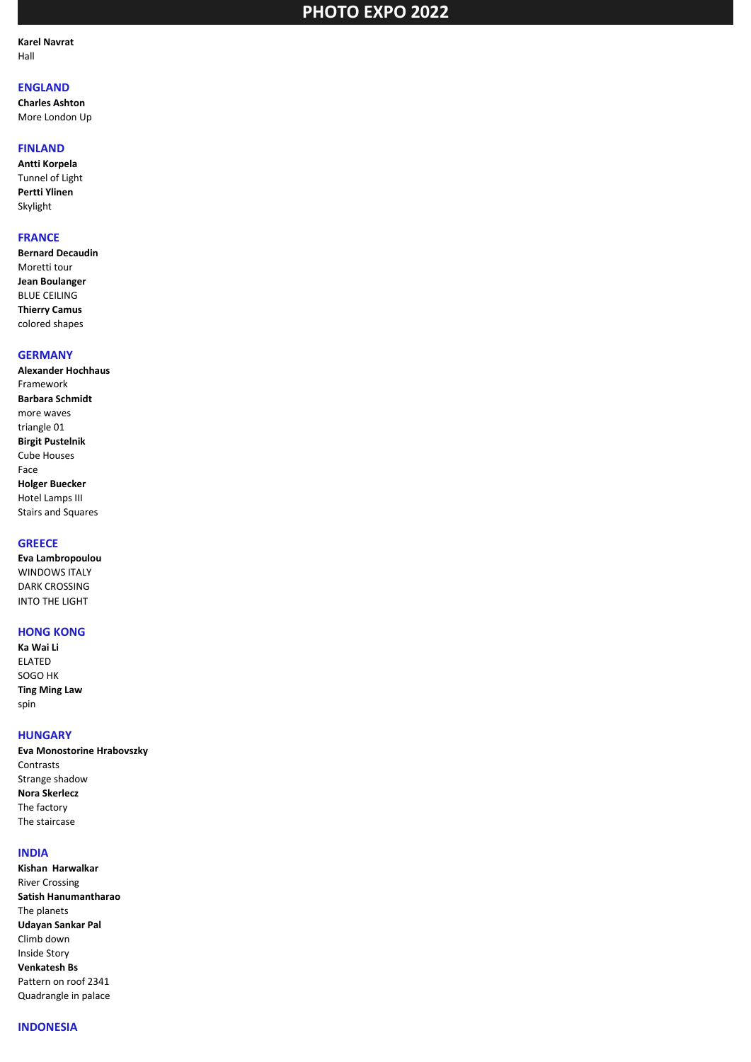**Karel Navrat** Hall

## **ENGLAND**

**Charles Ashton** More London Up

#### **FINLAND**

**Antti Korpela** Tunnel of Light **Pertti Ylinen** Skylight

### **FRANCE**

**Bernard Decaudin** Moretti tour **Jean Boulanger** BLUE CEILING **Thierry Camus** colored shapes

## **GERMANY**

**Alexander Hochhaus** Framework **Barbara Schmidt** more waves triangle 01 **Birgit Pustelnik** Cube Houses Face **Holger Buecker** Hotel Lamps III Stairs and Squares

### **GREECE**

**Eva Lambropoulou** WINDOWS ITALY DARK CROSSING INTO THE LIGHT

#### **HONG KONG**

**Ka Wai Li** ELATED SOGO HK **Ting Ming Law** spin

#### **HUNGARY**

**Eva Monostorine Hrabovszky** Contrasts Strange shadow **Nora Skerlecz** The factory The staircase

#### **INDIA**

**Kishan Harwalkar** River Crossing **Satish Hanumantharao** The planets **Udayan Sankar Pal** Climb down Inside Story **Venkatesh Bs** Pattern on roof 2341 Quadrangle in palace

#### **INDONESIA**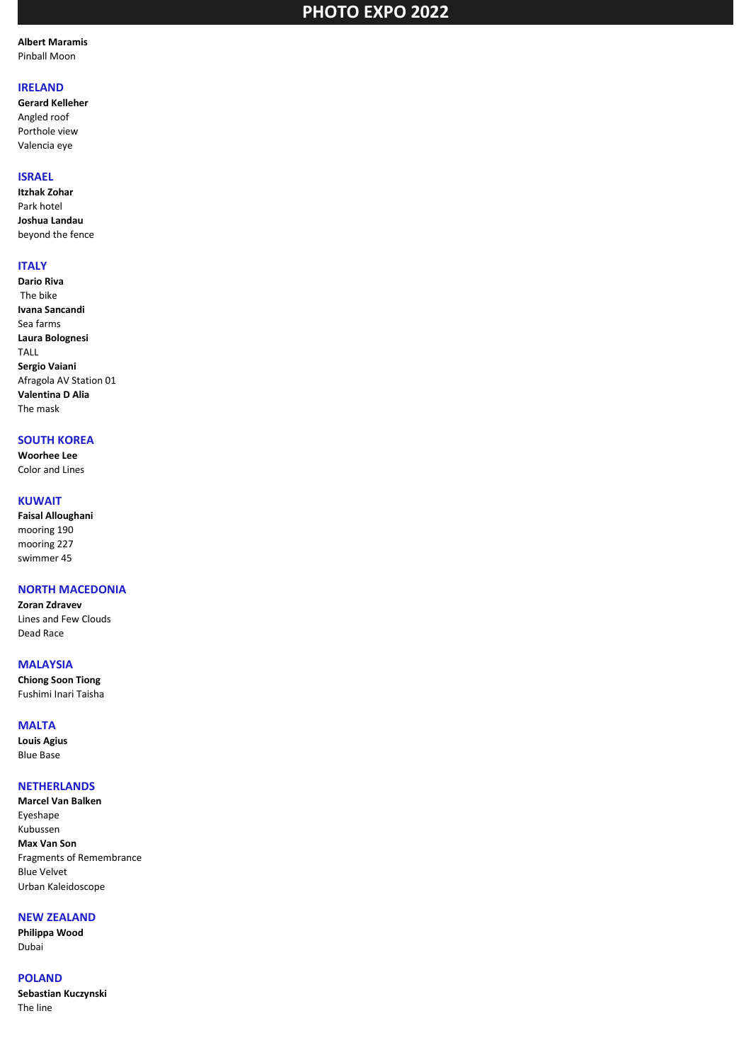**Albert Maramis** Pinball Moon

## **IRELAND**

**Gerard Kelleher** Angled roof Porthole view Valencia eye

#### **ISRAEL**

**Itzhak Zohar** Park hotel **Joshua Landau** beyond the fence

## **ITALY**

**Dario Riva** The bike **Ivana Sancandi** Sea farms **Laura Bolognesi** TALL **Sergio Vaiani** Afragola AV Station 01 **Valentina D Alia** The mask

#### **SOUTH KOREA**

**Woorhee Lee** Color and Lines

## **KUWAIT**

**Faisal Alloughani** mooring 190 mooring 227 swimmer 45

## **NORTH MACEDONIA**

**Zoran Zdravev** Lines and Few Clouds Dead Race

#### **MALAYSIA**

**Chiong Soon Tiong** Fushimi Inari Taisha

#### **MALTA**

**Louis Agius** Blue Base

## **NETHERLANDS**

**Marcel Van Balken** Eyeshape Kubussen **Max Van Son** Fragments of Remembrance Blue Velvet Urban Kaleidoscope

## **NEW ZEALAND**

**Philippa Wood** Dubai

## **POLAND**

**Sebastian Kuczynski** The line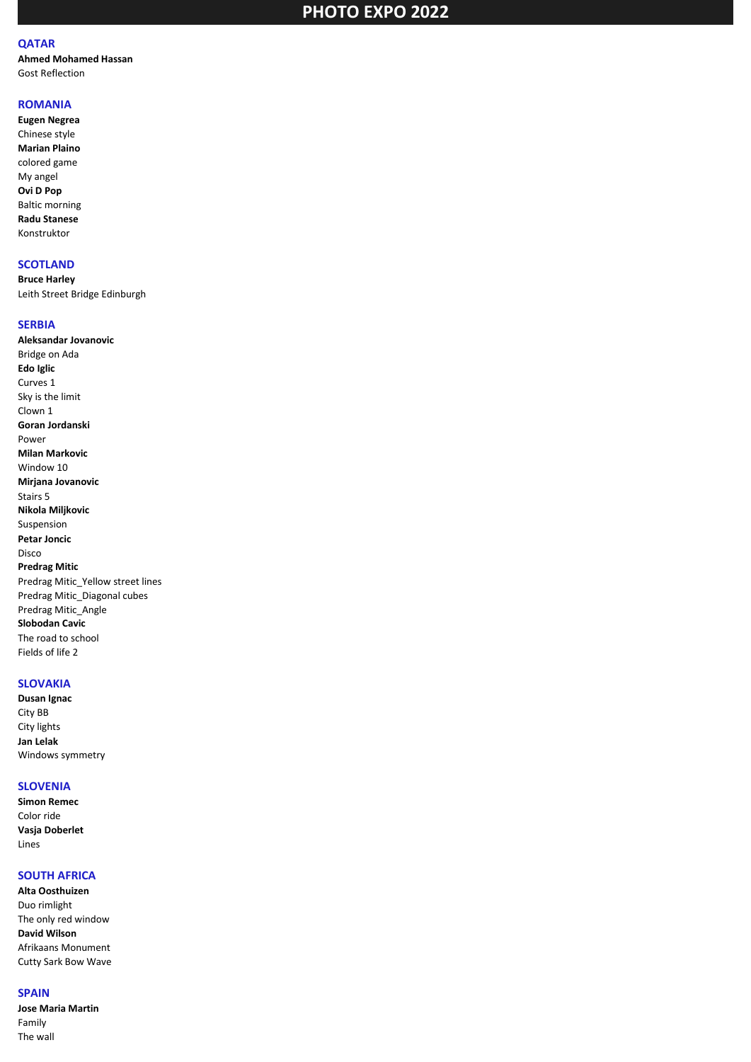## **QATAR**

**Ahmed Mohamed Hassan** Gost Reflection

## **ROMANIA**

**Eugen Negrea** Chinese style **Marian Plaino** colored game My angel **Ovi D Pop** Baltic morning **Radu Stanese** Konstruktor

#### **SCOTLAND**

**Bruce Harley** Leith Street Bridge Edinburgh

#### **SERBIA**

**Aleksandar Jovanovic** Bridge on Ada **Edo Iglic** Curves 1 Sky is the limit Clown 1 **Goran Jordanski** Power **Milan Markovic** Window 10 **Mirjana Jovanovic** Stairs 5 **Nikola Miljkovic** Suspension **Petar Joncic** Disco **Predrag Mitic** Predrag Mitic\_Yellow street lines Predrag Mitic\_Diagonal cubes Predrag Mitic\_Angle **Slobodan Cavic** The road to school Fields of life 2

### **SLOVAKIA**

**Dusan Ignac** City BB City lights **Jan Lelak** Windows symmetry

#### **SLOVENIA**

**Simon Remec** Color ride **Vasja Doberlet** Lines

### **SOUTH AFRICA**

**Alta Oosthuizen** Duo rimlight The only red window **David Wilson** Afrikaans Monument Cutty Sark Bow Wave

## **SPAIN**

**Jose Maria Martin** Family The wall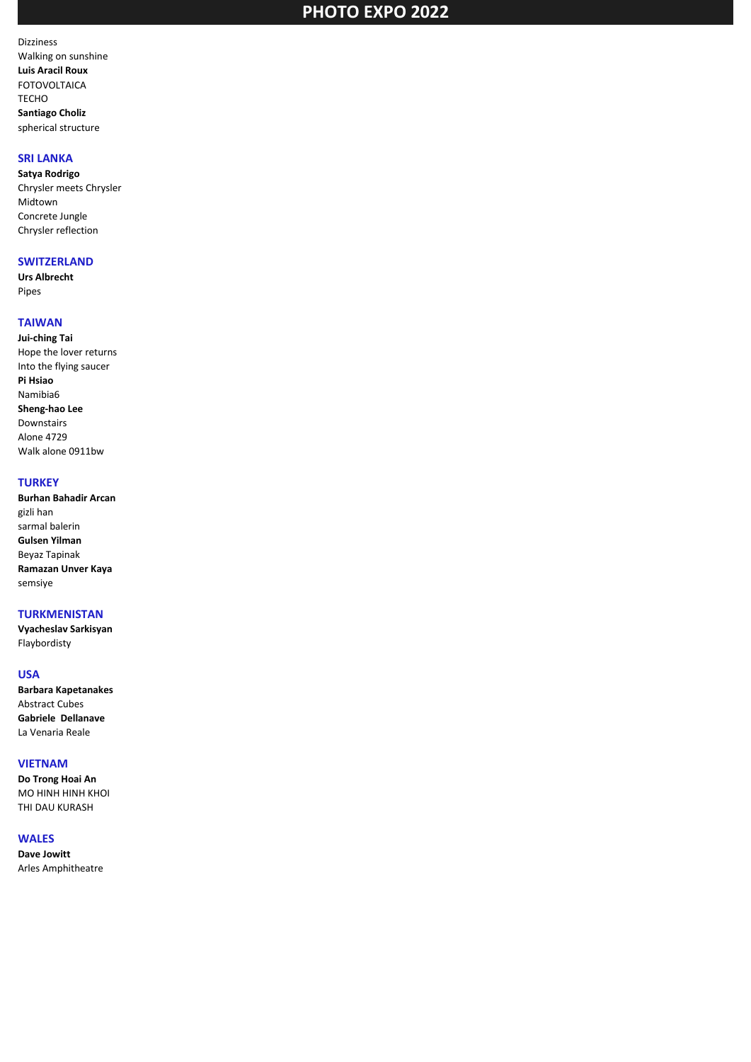Dizziness Walking on sunshine **Luis Aracil Roux** FOTOVOLTAICA TECHO **Santiago Choliz** spherical structure

## **SRI LANKA**

**Satya Rodrigo** Chrysler meets Chrysler Midtown Concrete Jungle Chrysler reflection

#### **SWITZERLAND**

**Urs Albrecht** Pipes

## **TAIWAN**

**Jui-ching Tai** Hope the lover returns Into the flying saucer **Pi Hsiao** Namibia6 **Sheng-hao Lee** Downstairs Alone 4729 Walk alone 0911bw

#### **TURKEY**

**Burhan Bahadir Arcan** gizli han sarmal balerin **Gulsen Yilman** Beyaz Tapinak **Ramazan Unver Kaya** semsiye

#### **TURKMENISTAN**

**Vyacheslav Sarkisyan** Flaybordisty

#### **USA**

**Barbara Kapetanakes** Abstract Cubes **Gabriele Dellanave** La Venaria Reale

#### **VIETNAM**

**Do Trong Hoai An** MO HINH HINH KHOI THI DAU KURASH

#### **WALES**

**Dave Jowitt** Arles Amphitheatre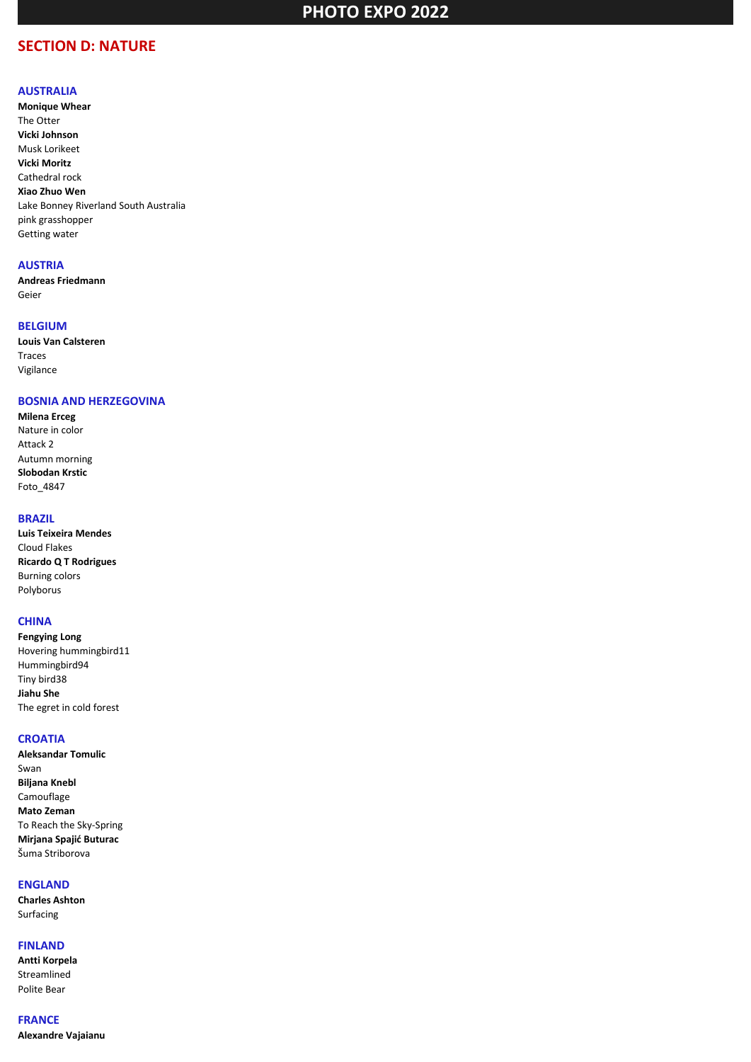## **SECTION D: NATURE**

#### **AUSTRALIA**

**Monique Whear** The Otter **Vicki Johnson** Musk Lorikeet **Vicki Moritz** Cathedral rock **Xiao Zhuo Wen** Lake Bonney Riverland South Australia pink grasshopper Getting water

#### **AUSTRIA**

**Andreas Friedmann** Geier

### **BELGIUM**

**Louis Van Calsteren** Traces Vigilance

### **BOSNIA AND HERZEGOVINA**

**Milena Erceg** Nature in color Attack 2 Autumn morning **Slobodan Krstic** Foto\_4847

#### **BRAZIL**

**Luis Teixeira Mendes** Cloud Flakes **Ricardo Q T Rodrigues** Burning colors Polyborus

#### **CHINA**

**Fengying Long** Hovering hummingbird11 Hummingbird94 Tiny bird38 **Jiahu She** The egret in cold forest

### **CROATIA**

**Aleksandar Tomulic** Swan **Biljana Knebl** Camouflage **Mato Zeman** To Reach the Sky-Spring **Mirjana Spajić Buturac** Šuma Striborova

## **ENGLAND**

**Charles Ashton** Surfacing

#### **FINLAND**

**Antti Korpela** Streamlined Polite Bear

**FRANCE Alexandre Vajaianu**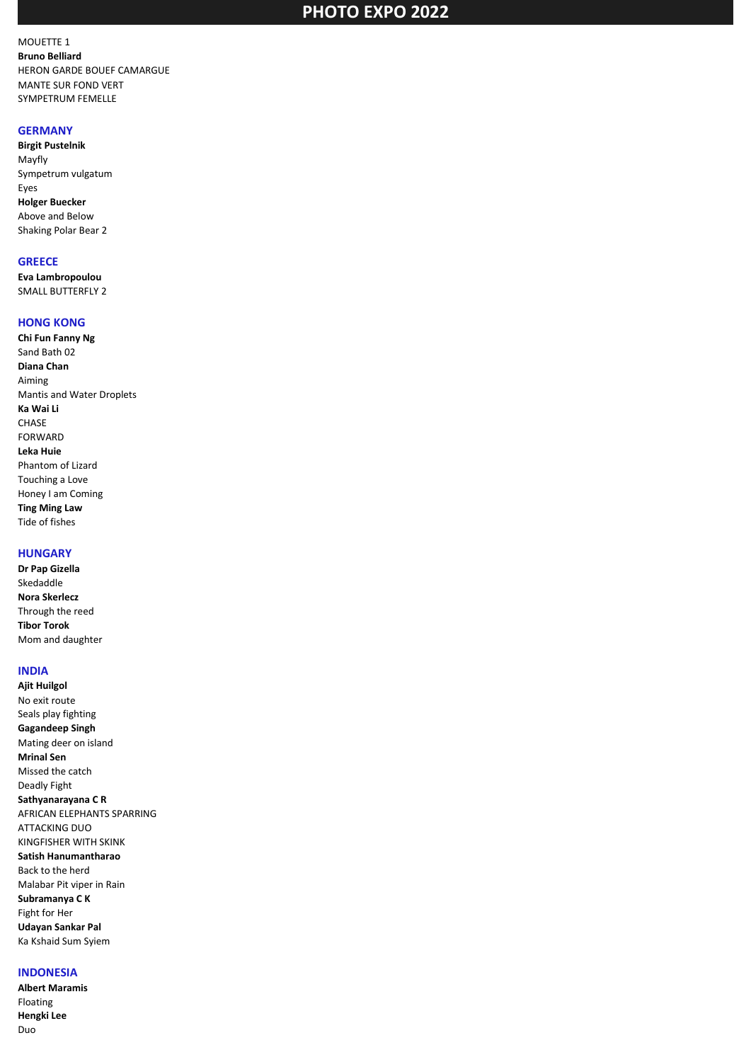MOUETTE 1 **Bruno Belliard** HERON GARDE BOUEF CAMARGUE MANTE SUR FOND VERT SYMPETRUM FEMELLE

#### **GERMANY**

**Birgit Pustelnik** Mayfly Sympetrum vulgatum Eyes **Holger Buecker** Above and Below Shaking Polar Bear 2

#### **GREECE**

**Eva Lambropoulou** SMALL BUTTERFLY 2

#### **HONG KONG**

**Chi Fun Fanny Ng** Sand Bath 02 **Diana Chan** Aiming Mantis and Water Droplets **Ka Wai Li CHASE** FORWARD **Leka Huie** Phantom of Lizard Touching a Love Honey I am Coming **Ting Ming Law** Tide of fishes

## **HUNGARY**

**Dr Pap Gizella** Skedaddle **Nora Skerlecz** Through the reed **Tibor Torok** Mom and daughter

## **INDIA**

**Ajit Huilgol** No exit route Seals play fighting **Gagandeep Singh** Mating deer on island **Mrinal Sen** Missed the catch Deadly Fight **Sathyanarayana C R** AFRICAN ELEPHANTS SPARRING ATTACKING DUO KINGFISHER WITH SKINK **Satish Hanumantharao** Back to the herd Malabar Pit viper in Rain **Subramanya C K** Fight for Her **Udayan Sankar Pal** Ka Kshaid Sum Syiem

#### **INDONESIA**

**Albert Maramis** Floating **Hengki Lee** Duo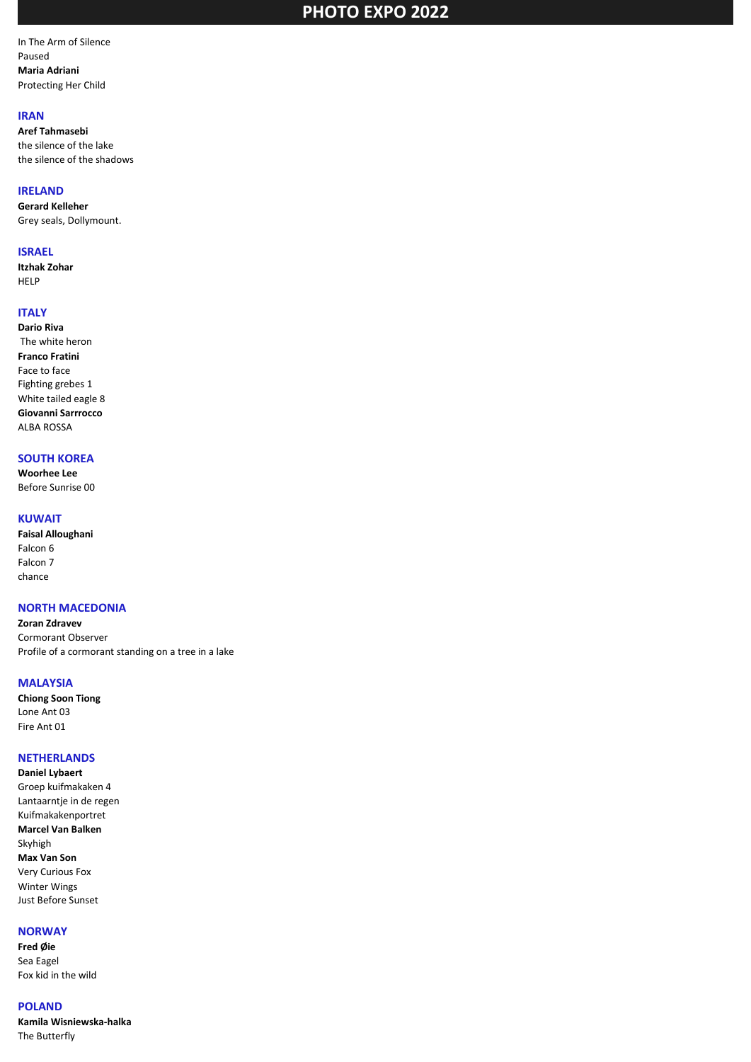In The Arm of Silence Paused **Maria Adriani** Protecting Her Child

#### **IRAN**

**Aref Tahmasebi** the silence of the lake the silence of the shadows

#### **IRELAND**

**Gerard Kelleher** Grey seals, Dollymount.

#### **ISRAEL**

**Itzhak Zohar** HELP

## **ITALY**

**Dario Riva** The white heron **Franco Fratini** Face to face Fighting grebes 1 White tailed eagle 8 **Giovanni Sarrrocco** ALBA ROSSA

## **SOUTH KOREA**

**Woorhee Lee** Before Sunrise 00

#### **KUWAIT**

**Faisal Alloughani** Falcon 6 Falcon 7 chance

#### **NORTH MACEDONIA**

**Zoran Zdravev** Cormorant Observer Profile of a cormorant standing on a tree in a lake

#### **MALAYSIA**

**Chiong Soon Tiong** Lone Ant 03 Fire Ant 01

#### **NETHERLANDS**

**Daniel Lybaert** Groep kuifmakaken 4 Lantaarntje in de regen Kuifmakakenportret **Marcel Van Balken** Skyhigh **Max Van Son** Very Curious Fox Winter Wings Just Before Sunset

## **NORWAY**

**Fred Øie** Sea Eagel Fox kid in the wild

#### **POLAND**

**Kamila Wisniewska-halka** The Butterfly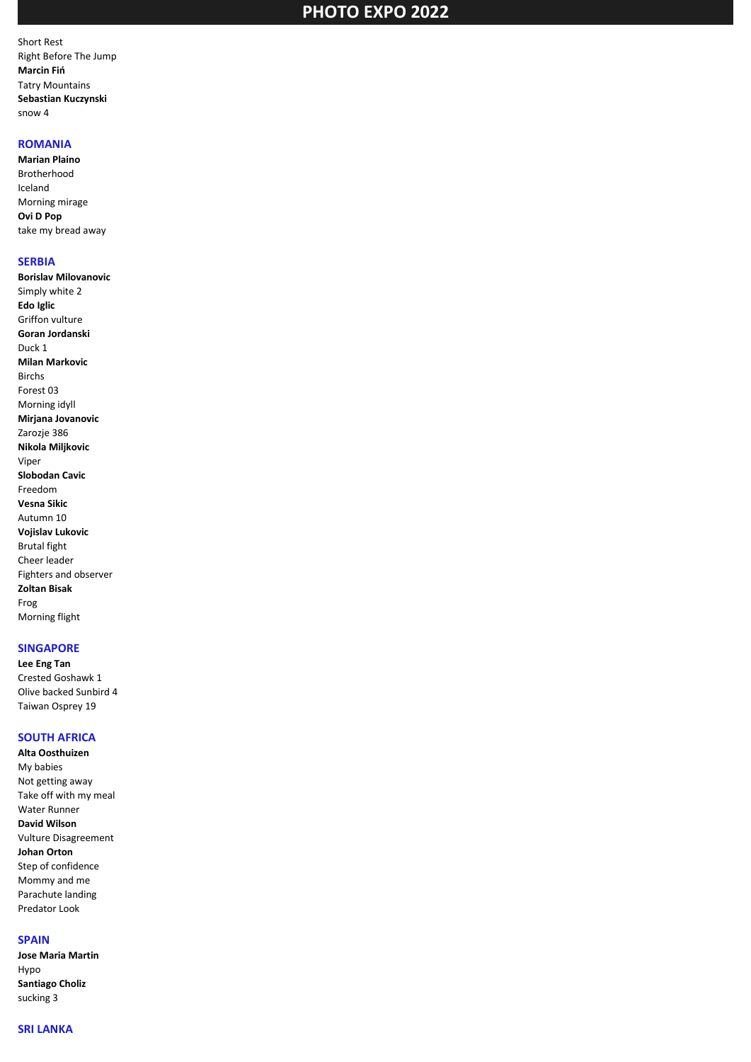Short Rest Right Before The Jump **Marcin Fiń** Tatry Mountains **Sebastian Kuczynski** snow 4

#### **ROMANIA**

**Marian Plaino** Brotherhood Iceland Morning mirage **Ovi D Pop** take my bread away

#### **SERBIA**

**Borislav Milovanovic** Simply white 2 **Edo Iglic** Griffon vulture **Goran Jordanski** Duck 1 **Milan Markovic** Birchs Forest 03 Morning idyll **Mirjana Jovanovic** Zarozje 386 **Nikola Miljkovic** Viper **Slobodan Cavic** Freedom **Vesna Sikic** Autumn 10 **Vojislav Lukovic** Brutal fight Cheer leader Fighters and observer **Zoltan Bisak** Frog Morning flight

#### **SINGAPORE**

**Lee Eng Tan** Crested Goshawk 1 Olive backed Sunbird 4 Taiwan Osprey 19

## **SOUTH AFRICA**

**Alta Oosthuizen** My babies Not getting away Take off with my meal Water Runner **David Wilson** Vulture Disagreement **Johan Orton** Step of confidence Mommy and me Parachute landing Predator Look

### **SPAIN**

**Jose Maria Martin** Hypo **Santiago Choliz** sucking 3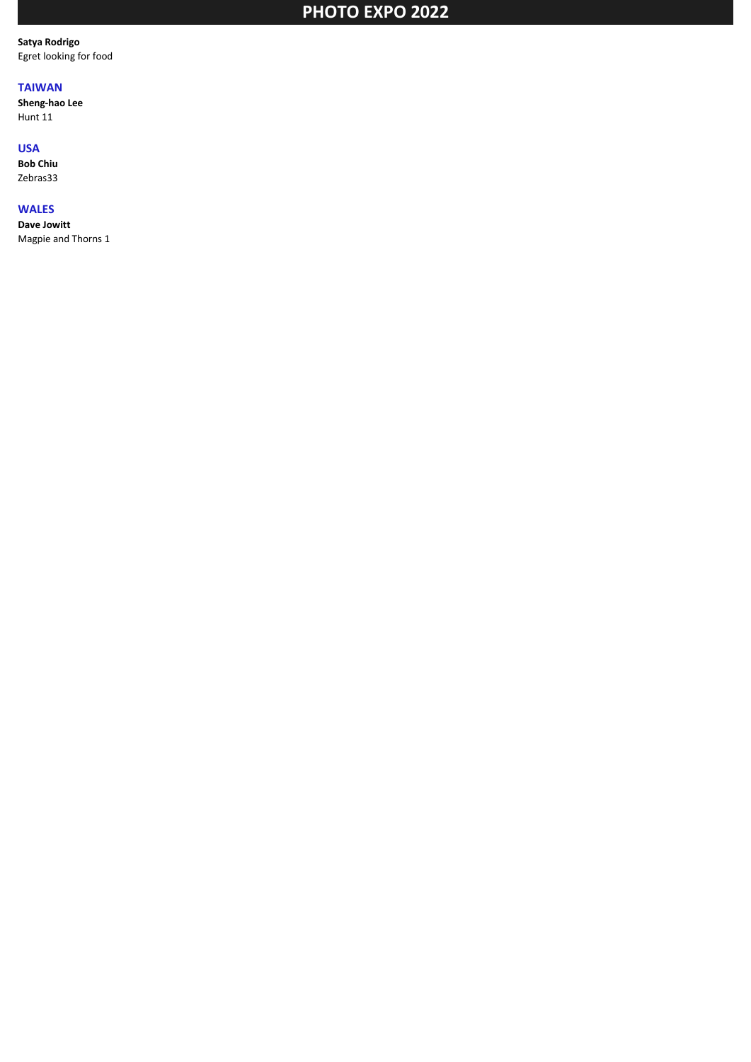**Satya Rodrigo** Egret looking for food

## **TAIWAN**

**Sheng-hao Lee** Hunt 11

#### **USA**

**Bob Chiu** Zebras33

## **WALES**

**Dave Jowitt**

Magpie and Thorns 1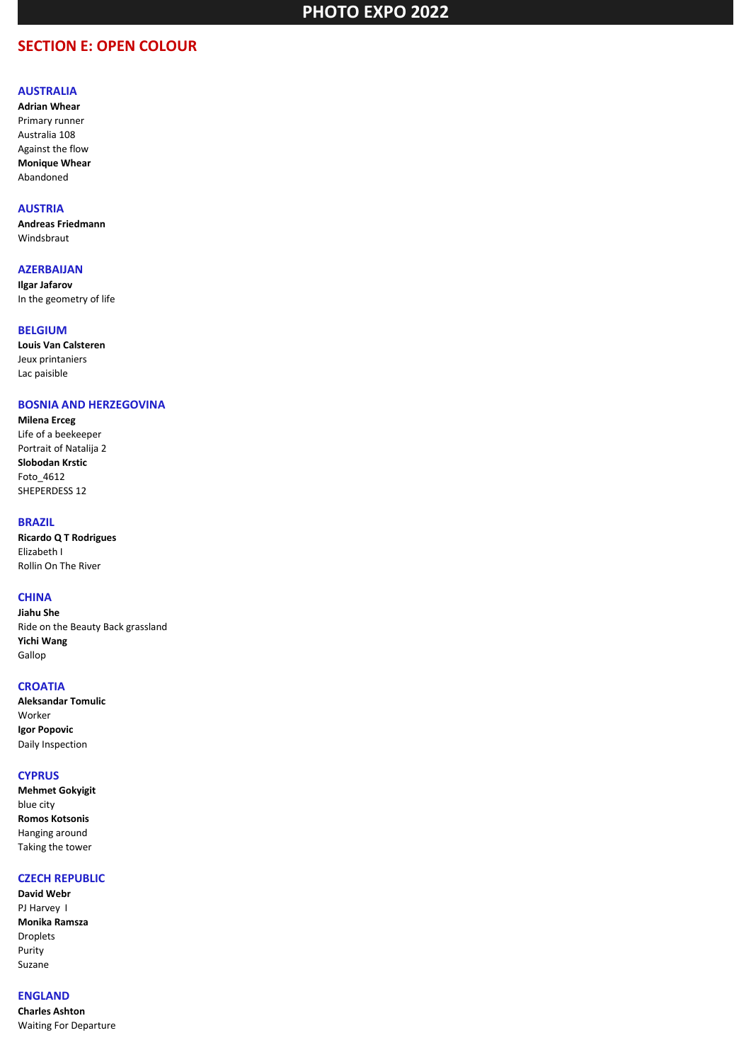## **SECTION E: OPEN COLOUR**

#### **AUSTRALIA**

**Adrian Whear** Primary runner Australia 108 Against the flow **Monique Whear** Abandoned

#### **AUSTRIA**

**Andreas Friedmann** Windsbraut

## **AZERBAIJAN**

**Ilgar Jafarov** In the geometry of life

#### **BELGIUM**

**Louis Van Calsteren** Jeux printaniers Lac paisible

#### **BOSNIA AND HERZEGOVINA**

**Milena Erceg** Life of a beekeeper Portrait of Natalija 2 **Slobodan Krstic** Foto\_4612 SHEPERDESS 12

#### **BRAZIL**

**Ricardo Q T Rodrigues** Elizabeth I Rollin On The River

## **CHINA**

**Jiahu She** Ride on the Beauty Back grassland **Yichi Wang** Gallop

#### **CROATIA**

**Aleksandar Tomulic** Worker **Igor Popovic** Daily Inspection

#### **CYPRUS**

**Mehmet Gokyigit** blue city **Romos Kotsonis** Hanging around Taking the tower

### **CZECH REPUBLIC**

**David Webr** PJ Harvey I **Monika Ramsza** Droplets Purity Suzane

## **ENGLAND**

**Charles Ashton** Waiting For Departure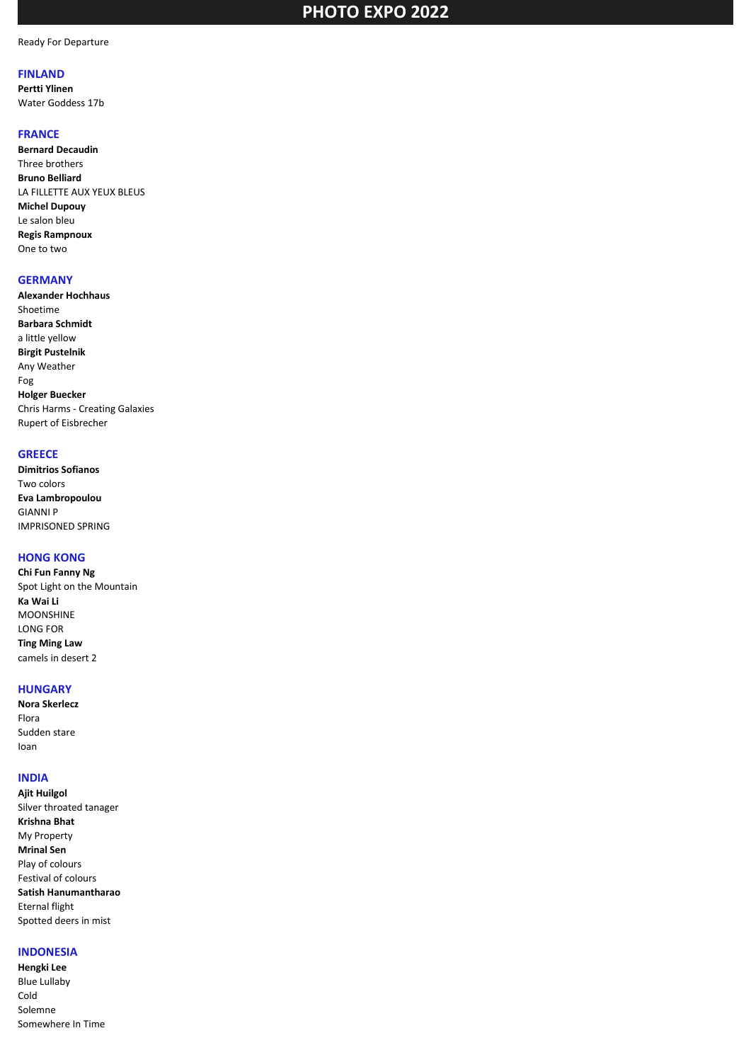Ready For Departure

#### **FINLAND**

**Pertti Ylinen** Water Goddess 17b

### **FRANCE**

**Bernard Decaudin** Three brothers **Bruno Belliard** LA FILLETTE AUX YEUX BLEUS **Michel Dupouy** Le salon bleu **Regis Rampnoux** One to two

#### **GERMANY**

**Alexander Hochhaus** Shoetime **Barbara Schmidt** a little yellow **Birgit Pustelnik** Any Weather Fog **Holger Buecker** Chris Harms - Creating Galaxies Rupert of Eisbrecher

### **GREECE**

**Dimitrios Sofianos** Two colors **Eva Lambropoulou** GIANNI P IMPRISONED SPRING

### **HONG KONG**

**Chi Fun Fanny Ng** Spot Light on the Mountain **Ka Wai Li** MOONSHINE LONG FOR **Ting Ming Law** camels in desert 2

#### **HUNGARY**

**Nora Skerlecz** Flora Sudden stare Ioan

## **INDIA**

**Ajit Huilgol** Silver throated tanager **Krishna Bhat** My Property **Mrinal Sen** Play of colours Festival of colours **Satish Hanumantharao** Eternal flight Spotted deers in mist

## **INDONESIA**

**Hengki Lee** Blue Lullaby Cold Solemne Somewhere In Time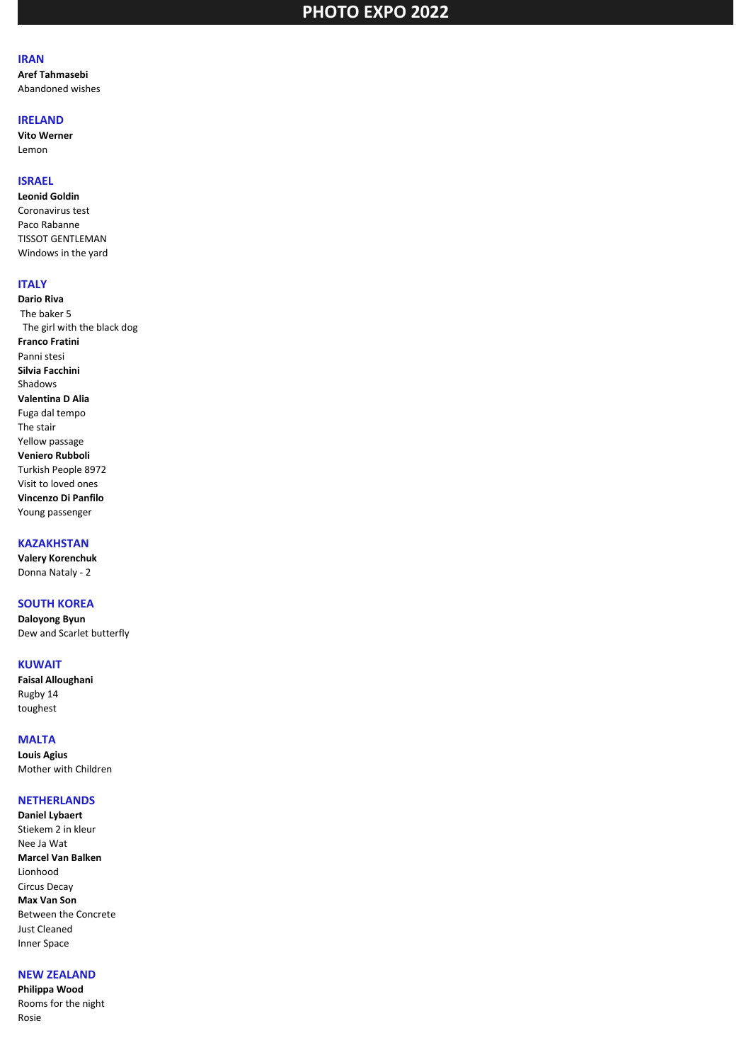#### **IRAN**

**Aref Tahmasebi** Abandoned wishes

#### **IRELAND**

**Vito Werner** Lemon

## **ISRAEL**

**Leonid Goldin** Coronavirus test Paco Rabanne TISSOT GENTLEMAN Windows in the yard

## **ITALY**

**Dario Riva** The baker 5 The girl with the black dog **Franco Fratini** Panni stesi **Silvia Facchini** Shadows **Valentina D Alia** Fuga dal tempo The stair Yellow passage **Veniero Rubboli** Turkish People 8972 Visit to loved ones **Vincenzo Di Panfilo** Young passenger

## **KAZAKHSTAN**

**Valery Korenchuk** Donna Nataly - 2

## **SOUTH KOREA**

**Daloyong Byun** Dew and Scarlet butterfly

#### **KUWAIT**

**Faisal Alloughani** Rugby 14 toughest

## **MALTA**

**Louis Agius** Mother with Children

#### **NETHERLANDS**

**Daniel Lybaert** Stiekem 2 in kleur Nee Ja Wat **Marcel Van Balken** Lionhood Circus Decay **Max Van Son** Between the Concrete Just Cleaned Inner Space

## **NEW ZEALAND**

**Philippa Wood** Rooms for the night Rosie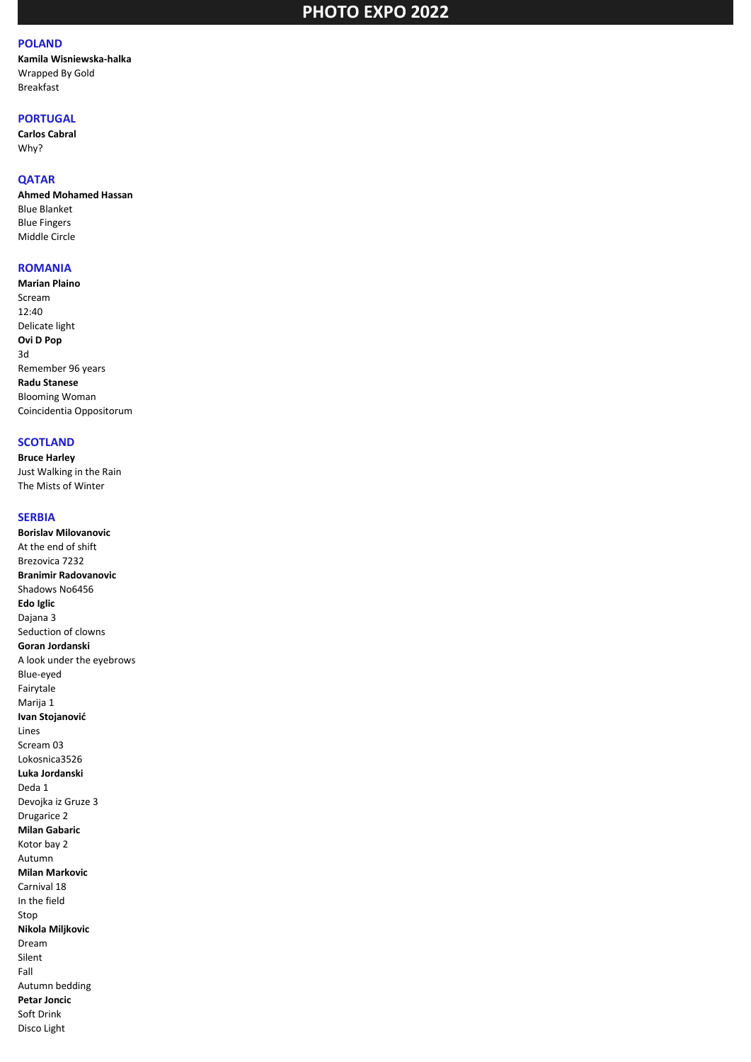## **POLAND**

**Kamila Wisniewska-halka** Wrapped By Gold Breakfast

## **PORTUGAL**

**Carlos Cabral** Why?

### **QATAR**

**Ahmed Mohamed Hassan** Blue Blanket Blue Fingers Middle Circle

### **ROMANIA**

**Marian Plaino** Scream 12:40 Delicate light **Ovi D Pop** 3d Remember 96 years **Radu Stanese** Blooming Woman Coincidentia Oppositorum

#### **SCOTLAND**

**Bruce Harley** Just Walking in the Rain The Mists of Winter

#### **SERBIA**

**Borislav Milovanovic** At the end of shift Brezovica 7232 **Branimir Radovanovic** Shadows No6456 **Edo Iglic** Dajana 3 Seduction of clowns **Goran Jordanski** A look under the eyebrows Blue-eyed Fairytale Marija 1 **Ivan Stojanović** Lines Scream 03 Lokosnica3526 **Luka Jordanski** Deda 1 Devojka iz Gruze 3 Drugarice 2 **Milan Gabaric** Kotor bay 2 Autumn **Milan Markovic** Carnival 18 In the field Stop **Nikola Miljkovic** Dream Silent Fall Autumn bedding **Petar Joncic** Soft Drink Disco Light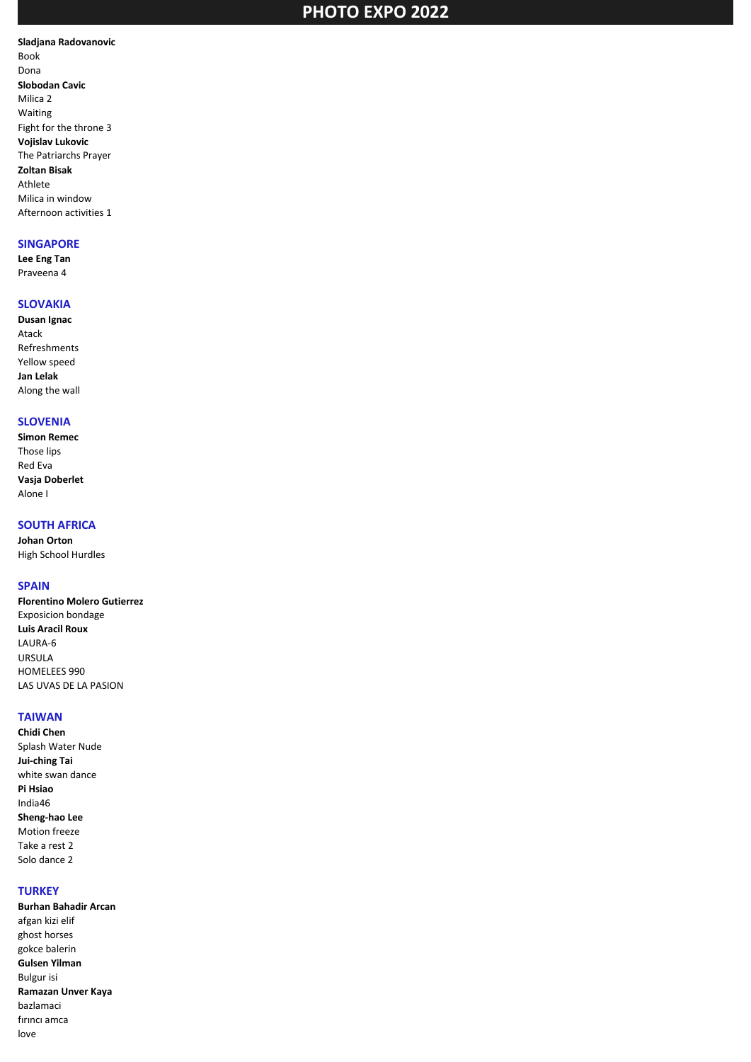**Sladjana Radovanovic** Book Dona **Slobodan Cavic** Milica 2 Waiting Fight for the throne 3 **Vojislav Lukovic** The Patriarchs Prayer **Zoltan Bisak** Athlete Milica in window Afternoon activities 1

#### **SINGAPORE**

**Lee Eng Tan** Praveena 4

## **SLOVAKIA**

**Dusan Ignac** Atack Refreshments Yellow speed **Jan Lelak** Along the wall

### **SLOVENIA**

**Simon Remec** Those lips Red Eva **Vasja Doberlet** Alone I

### **SOUTH AFRICA**

**Johan Orton** High School Hurdles

### **SPAIN**

**Florentino Molero Gutierrez** Exposicion bondage **Luis Aracil Roux** LAURA-6 URSULA HOMELEES 990 LAS UVAS DE LA PASION

### **TAIWAN**

**Chidi Chen** Splash Water Nude **Jui-ching Tai** white swan dance **Pi Hsiao** India46 **Sheng-hao Lee** Motion freeze Take a rest 2 Solo dance 2

### **TURKEY**

**Burhan Bahadir Arcan** afgan kizi elif ghost horses gokce balerin **Gulsen Yilman** Bulgur isi **Ramazan Unver Kaya** bazlamaci fırıncı amca love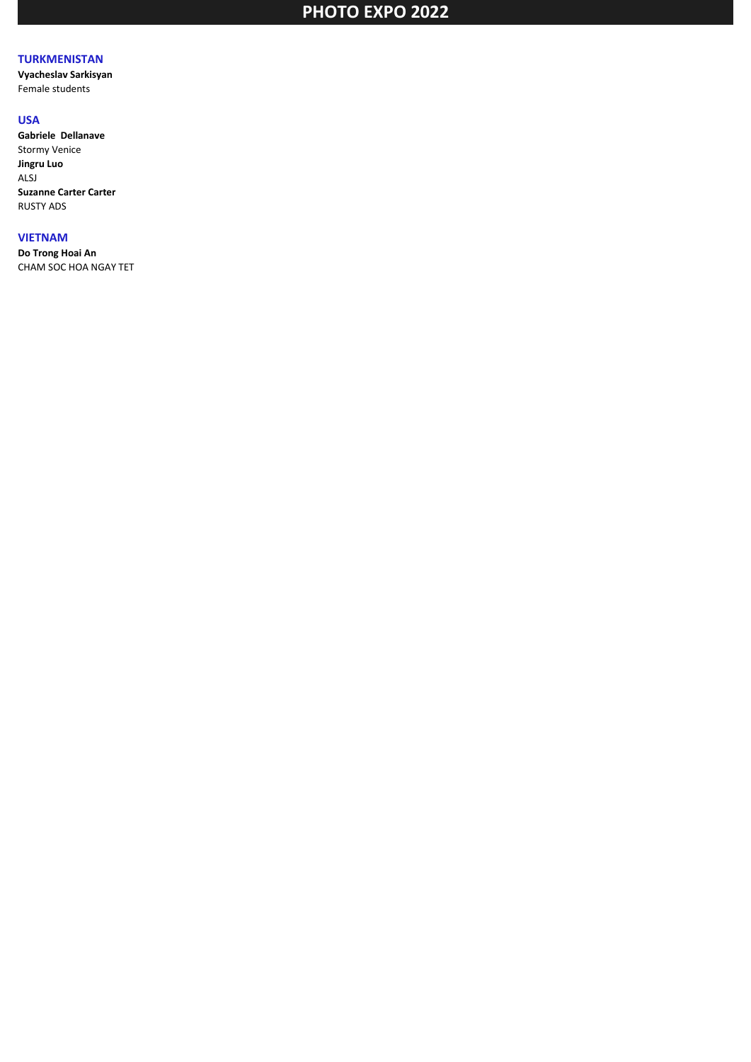## **TURKMENISTAN**

**Vyacheslav Sarkisyan** Female students

### **USA**

**Gabriele Dellanave** Stormy Venice **Jingru Luo** ALSJ **Suzanne Carter Carter** RUSTY ADS

## **VIETNAM**

**Do Trong Hoai An** CHAM SOC HOA NGAY TET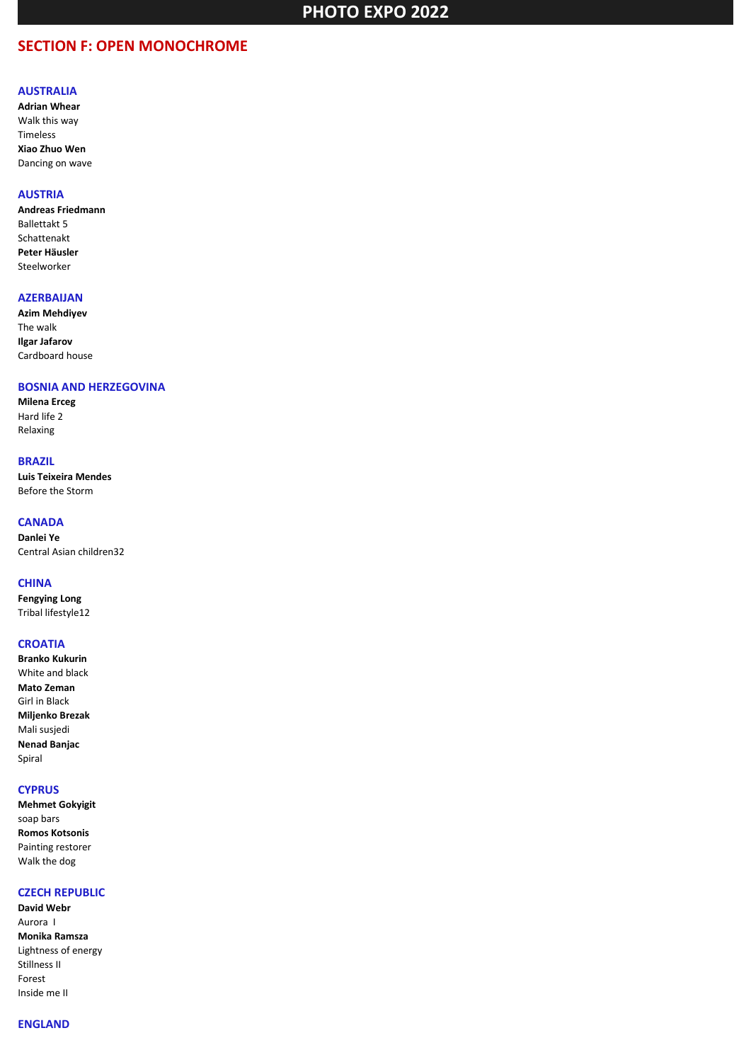## **SECTION F: OPEN MONOCHROME**

#### **AUSTRALIA**

**Adrian Whear** Walk this way Timeless **Xiao Zhuo Wen** Dancing on wave

#### **AUSTRIA**

**Andreas Friedmann** Ballettakt 5 Schattenakt **Peter Häusler** Steelworker

#### **AZERBAIJAN**

**Azim Mehdiyev** The walk **Ilgar Jafarov** Сardboard house

#### **BOSNIA AND HERZEGOVINA**

**Milena Erceg** Hard life 2 Relaxing

### **BRAZIL**

**Luis Teixeira Mendes** Before the Storm

#### **CANADA**

**Danlei Ye** Central Asian children32

#### **CHINA**

**Fengying Long** Tribal lifestyle12

#### **CROATIA**

**Branko Kukurin** White and black **Mato Zeman** Girl in Black **Miljenko Brezak** Mali susjedi **Nenad Banjac** Spiral

#### **CYPRUS**

**Mehmet Gokyigit** soap bars **Romos Kotsonis** Painting restorer Walk the dog

## **CZECH REPUBLIC**

**David Webr** Aurora I **Monika Ramsza** Lightness of energy Stillness II Forest Inside me II

## **ENGLAND**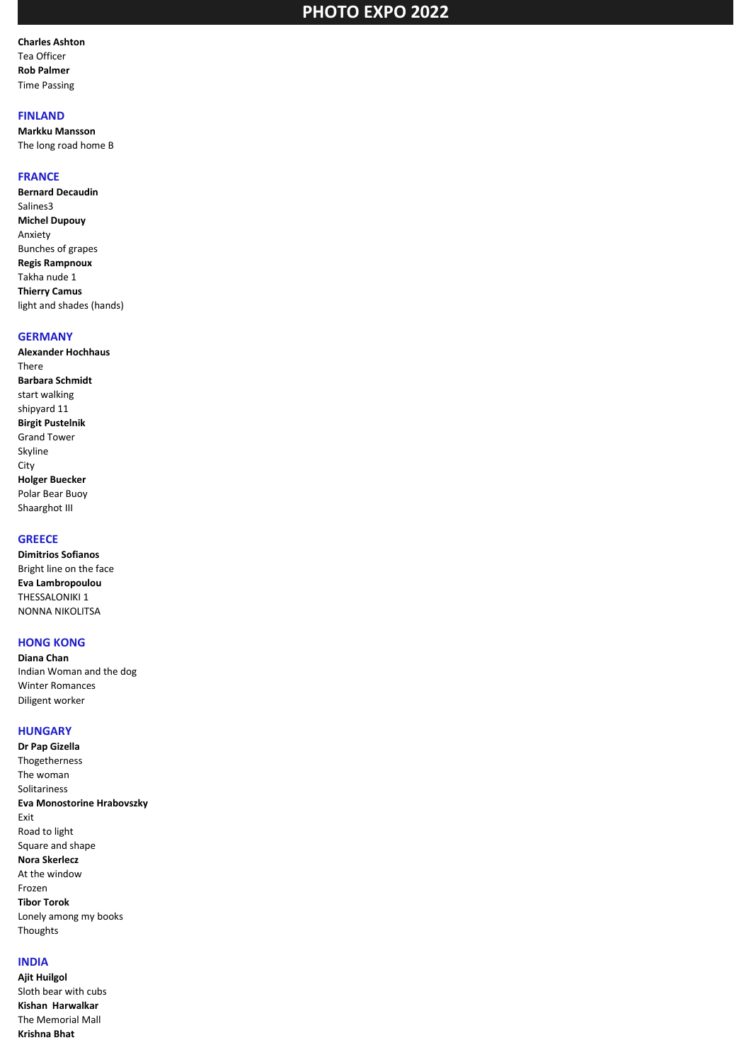**Charles Ashton** Tea Officer **Rob Palmer** Time Passing

#### **FINLAND**

**Markku Mansson** The long road home B

#### **FRANCE**

**Bernard Decaudin** Salines3 **Michel Dupouy** Anxiety Bunches of grapes **Regis Rampnoux** Takha nude 1 **Thierry Camus** light and shades (hands)

### **GERMANY**

**Alexander Hochhaus** There **Barbara Schmidt** start walking shipyard 11 **Birgit Pustelnik** Grand Tower Skyline City **Holger Buecker** Polar Bear Buoy Shaarghot III

## **GREECE**

**Dimitrios Sofianos** Bright line on the face **Eva Lambropoulou** THESSALONIKI 1 NONNA NIKOLITSA

#### **HONG KONG**

**Diana Chan** Indian Woman and the dog Winter Romances Diligent worker

#### **HUNGARY**

**Dr Pap Gizella** Thogetherness The woman Solitariness **Eva Monostorine Hrabovszky** Exit Road to light Square and shape **Nora Skerlecz** At the window Frozen **Tibor Torok** Lonely among my books **Thoughts** 

## **INDIA**

**Ajit Huilgol** Sloth bear with cubs **Kishan Harwalkar** The Memorial Mall **Krishna Bhat**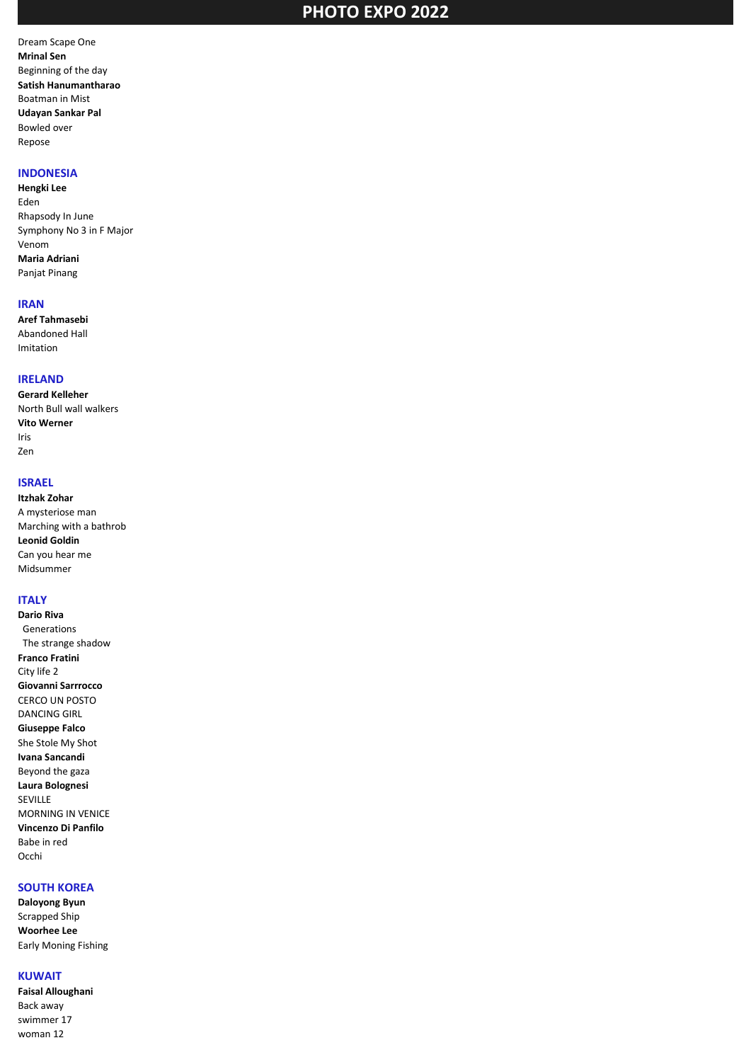Dream Scape One **Mrinal Sen** Beginning of the day **Satish Hanumantharao** Boatman in Mist **Udayan Sankar Pal** Bowled over Repose

#### **INDONESIA**

**Hengki Lee** Eden Rhapsody In June Symphony No 3 in F Major Venom **Maria Adriani** Panjat Pinang

#### **IRAN**

**Aref Tahmasebi** Abandoned Hall Imitation

#### **IRELAND**

**Gerard Kelleher** North Bull wall walkers **Vito Werner** Iris Zen

#### **ISRAEL**

**Itzhak Zohar** A mysteriose man Marching with a bathrob **Leonid Goldin** Can you hear me Midsummer

## **ITALY**

**Dario Riva** Generations The strange shadow **Franco Fratini** City life 2 **Giovanni Sarrrocco** CERCO UN POSTO DANCING GIRL **Giuseppe Falco** She Stole My Shot **Ivana Sancandi** Beyond the gaza **Laura Bolognesi** SEVILLE MORNING IN VENICE **Vincenzo Di Panfilo** Babe in red Occhi

## **SOUTH KOREA**

**Daloyong Byun** Scrapped Ship **Woorhee Lee** Early Moning Fishing

#### **KUWAIT**

**Faisal Alloughani** Back away swimmer 17 woman 12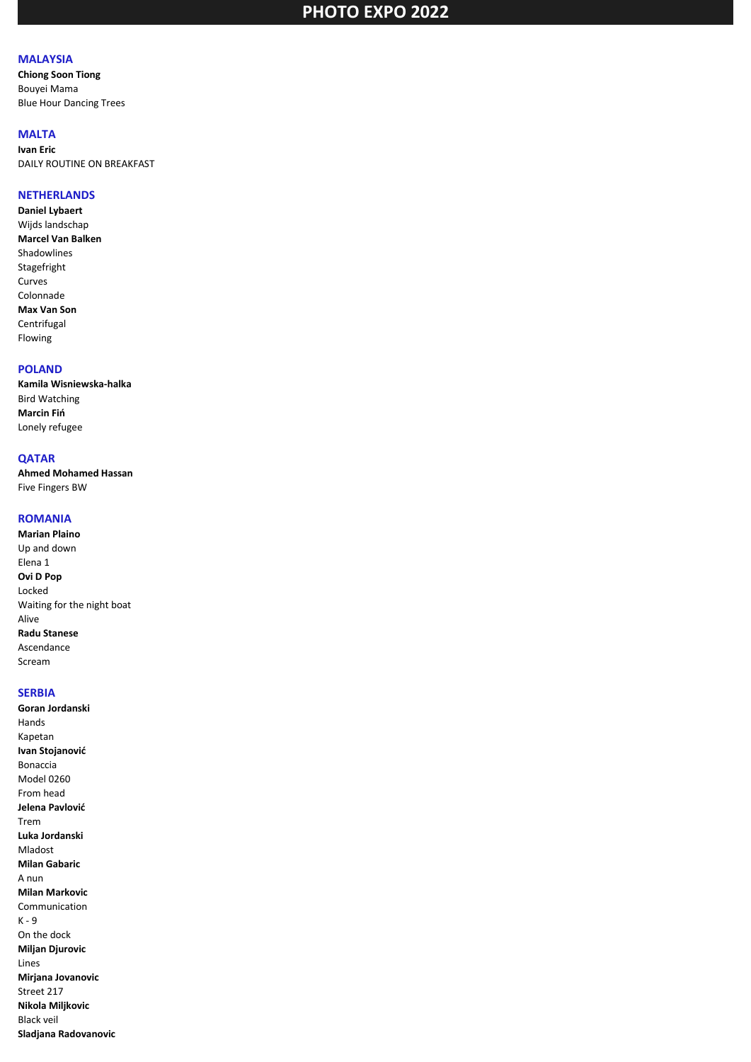## **MALAYSIA**

**Chiong Soon Tiong** Bouyei Mama Blue Hour Dancing Trees

## **MALTA**

**Ivan Eric** DAILY ROUTINE ON BREAKFAST

#### **NETHERLANDS**

**Daniel Lybaert** Wijds landschap **Marcel Van Balken** Shadowlines Stagefright Curves Colonnade **Max Van Son Centrifugal** Flowing

#### **POLAND**

**Kamila Wisniewska-halka** Bird Watching **Marcin Fiń** Lonely refugee

## **QATAR**

**Ahmed Mohamed Hassan** Five Fingers BW

#### **ROMANIA**

**Marian Plaino** Up and down Elena 1 **Ovi D Pop** Locked Waiting for the night boat Alive **Radu Stanese** Ascendance Scream

#### **SERBIA**

**Goran Jordanski** Hands Kapetan **Ivan Stojanović** Bonaccia Model 0260 From head **Jelena Pavlović** Trem **Luka Jordanski** Mladost **Milan Gabaric** A nun **Milan Markovic** Communication K - 9 On the dock **Miljan Djurovic** Lines **Mirjana Jovanovic** Street 217 **Nikola Miljkovic** Black veil **Sladjana Radovanovic**